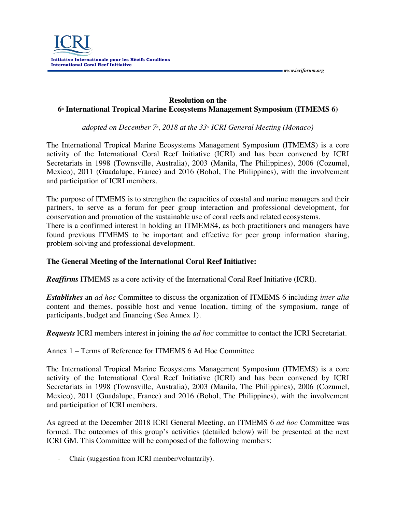

## **Resolution on the 6<sup>th</sup> International Tropical Marine Ecosystems Management Symposium (ITMEMS 6)**

 *www.icriforum.org* 

*adopted on December 7<sup>\*</sup>, 2018 at the 33<sup>-<i>d*</sup> *ICRI General Meeting (Monaco)* 

The International Tropical Marine Ecosystems Management Symposium (ITMEMS) is a core activity of the International Coral Reef Initiative (ICRI) and has been convened by ICRI Secretariats in 1998 (Townsville, Australia), 2003 (Manila, The Philippines), 2006 (Cozumel, Mexico), 2011 (Guadalupe, France) and 2016 (Bohol, The Philippines), with the involvement and participation of ICRI members.

The purpose of ITMEMS is to strengthen the capacities of coastal and marine managers and their partners, to serve as a forum for peer group interaction and professional development, for conservation and promotion of the sustainable use of coral reefs and related ecosystems. There is a confirmed interest in holding an ITMEMS4, as both practitioners and managers have found previous ITMEMS to be important and effective for peer group information sharing, problem-solving and professional development.

## **The General Meeting of the International Coral Reef Initiative:**

*Reaffirms* ITMEMS as a core activity of the International Coral Reef Initiative (ICRI).

*Establishes* an *ad hoc* Committee to discuss the organization of ITMEMS 6 including *inter alia*  content and themes, possible host and venue location, timing of the symposium, range of participants, budget and financing (See Annex 1).

*Requests* ICRI members interest in joining the *ad hoc* committee to contact the ICRI Secretariat.

Annex 1 – Terms of Reference for ITMEMS 6 Ad Hoc Committee

The International Tropical Marine Ecosystems Management Symposium (ITMEMS) is a core activity of the International Coral Reef Initiative (ICRI) and has been convened by ICRI Secretariats in 1998 (Townsville, Australia), 2003 (Manila, The Philippines), 2006 (Cozumel, Mexico), 2011 (Guadalupe, France) and 2016 (Bohol, The Philippines), with the involvement and participation of ICRI members.

As agreed at the December 2018 ICRI General Meeting, an ITMEMS 6 *ad hoc* Committee was formed. The outcomes of this group's activities (detailed below) will be presented at the next ICRI GM. This Committee will be composed of the following members:

Chair (suggestion from ICRI member/voluntarily).